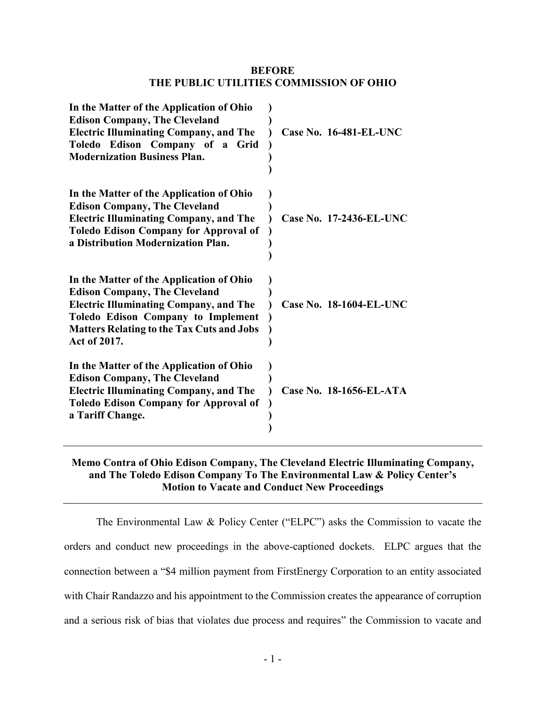#### **BEFORE THE PUBLIC UTILITIES COMMISSION OF OHIO**

| In the Matter of the Application of Ohio<br><b>Edison Company, The Cleveland</b><br><b>Electric Illuminating Company, and The</b><br>Toledo Edison Company of a Grid<br><b>Modernization Business Plan.</b>                                               | Case No. 16-481-EL-UNC         |  |
|-----------------------------------------------------------------------------------------------------------------------------------------------------------------------------------------------------------------------------------------------------------|--------------------------------|--|
| In the Matter of the Application of Ohio<br><b>Edison Company, The Cleveland</b><br><b>Electric Illuminating Company, and The</b><br><b>Toledo Edison Company for Approval of</b><br>a Distribution Modernization Plan.                                   | <b>Case No. 17-2436-EL-UNC</b> |  |
| In the Matter of the Application of Ohio<br><b>Edison Company, The Cleveland</b><br><b>Electric Illuminating Company, and The</b><br><b>Toledo Edison Company to Implement</b><br><b>Matters Relating to the Tax Cuts and Jobs</b><br><b>Act of 2017.</b> | <b>Case No. 18-1604-EL-UNC</b> |  |
| In the Matter of the Application of Ohio<br><b>Edison Company, The Cleveland</b><br><b>Electric Illuminating Company, and The</b><br><b>Toledo Edison Company for Approval of</b><br>a Tariff Change.                                                     | Case No. 18-1656-EL-ATA        |  |

#### **Memo Contra of Ohio Edison Company, The Cleveland Electric Illuminating Company, and The Toledo Edison Company To The Environmental Law & Policy Center's Motion to Vacate and Conduct New Proceedings**

The Environmental Law & Policy Center ("ELPC") asks the Commission to vacate the orders and conduct new proceedings in the above-captioned dockets. ELPC argues that the connection between a "\$4 million payment from FirstEnergy Corporation to an entity associated with Chair Randazzo and his appointment to the Commission creates the appearance of corruption and a serious risk of bias that violates due process and requires" the Commission to vacate and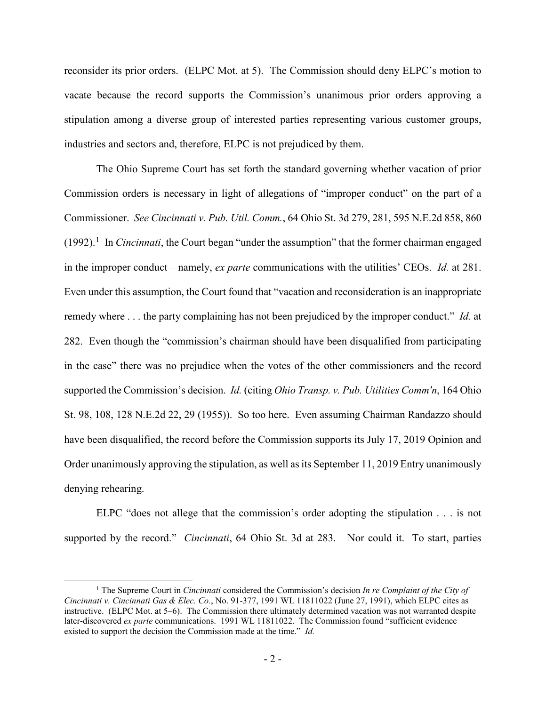reconsider its prior orders. (ELPC Mot. at 5). The Commission should deny ELPC's motion to vacate because the record supports the Commission's unanimous prior orders approving a stipulation among a diverse group of interested parties representing various customer groups, industries and sectors and, therefore, ELPC is not prejudiced by them.

The Ohio Supreme Court has set forth the standard governing whether vacation of prior Commission orders is necessary in light of allegations of "improper conduct" on the part of a Commissioner. *See Cincinnati v. Pub. Util. Comm.*, 64 Ohio St. 3d 279, 281, 595 N.E.2d 858, 860 ([1](#page-1-0)992).<sup>1</sup> In *Cincinnati*, the Court began "under the assumption" that the former chairman engaged in the improper conduct—namely, *ex parte* communications with the utilities' CEOs. *Id.* at 281. Even under this assumption, the Court found that "vacation and reconsideration is an inappropriate remedy where . . . the party complaining has not been prejudiced by the improper conduct." *Id.* at 282. Even though the "commission's chairman should have been disqualified from participating in the case" there was no prejudice when the votes of the other commissioners and the record supported the Commission's decision. *Id.* (citing *Ohio Transp. v. Pub. Utilities Comm'n*, 164 Ohio St. 98, 108, 128 N.E.2d 22, 29 (1955)). So too here. Even assuming Chairman Randazzo should have been disqualified, the record before the Commission supports its July 17, 2019 Opinion and Order unanimously approving the stipulation, as well as its September 11, 2019 Entry unanimously denying rehearing.

ELPC "does not allege that the commission's order adopting the stipulation . . . is not supported by the record." *Cincinnati*, 64 Ohio St. 3d at 283. Nor could it. To start, parties

<span id="page-1-0"></span> <sup>1</sup> The Supreme Court in *Cincinnati* considered the Commission's decision *In re Complaint of the City of Cincinnati v. Cincinnati Gas & Elec. Co.*, No. 91-377, 1991 WL 11811022 (June 27, 1991), which ELPC cites as instructive. (ELPC Mot. at 5–6). The Commission there ultimately determined vacation was not warranted despite later-discovered *ex parte* communications. 1991 WL 11811022. The Commission found "sufficient evidence existed to support the decision the Commission made at the time." *Id.*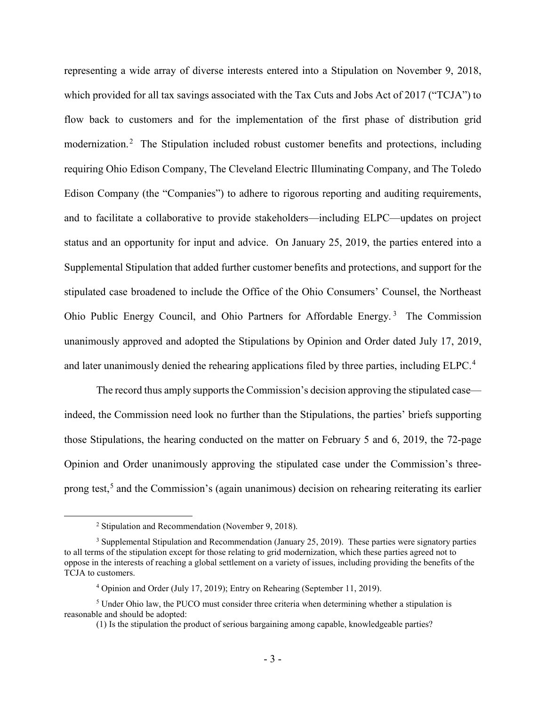representing a wide array of diverse interests entered into a Stipulation on November 9, 2018, which provided for all tax savings associated with the Tax Cuts and Jobs Act of 2017 ("TCJA") to flow back to customers and for the implementation of the first phase of distribution grid modernization.[2](#page-2-2) The Stipulation included robust customer benefits and protections, including requiring Ohio Edison Company, The Cleveland Electric Illuminating Company, and The Toledo Edison Company (the "Companies") to adhere to rigorous reporting and auditing requirements, and to facilitate a collaborative to provide stakeholders—including ELPC—updates on project status and an opportunity for input and advice. On January 25, 2019, the parties entered into a Supplemental Stipulation that added further customer benefits and protections, and support for the stipulated case broadened to include the Office of the Ohio Consumers' Counsel, the Northeast Ohio Public Energy Council, and Ohio Partners for Affordable Energy. [3](#page-2-3) The Commission unanimously approved and adopted the Stipulations by Opinion and Order dated July 17, 2019, and later unanimously denied the rehearing applications filed by three parties, including ELPC.<sup>[4](#page-2-0)</sup>

The record thus amply supports the Commission's decision approving the stipulated case indeed, the Commission need look no further than the Stipulations, the parties' briefs supporting those Stipulations, the hearing conducted on the matter on February 5 and 6, 2019, the 72-page Opinion and Order unanimously approving the stipulated case under the Commission's three-prong test,<sup>[5](#page-2-1)</sup> and the Commission's (again unanimous) decision on rehearing reiterating its earlier

 <sup>2</sup> Stipulation and Recommendation (November 9, 2018).

<span id="page-2-3"></span><span id="page-2-2"></span><sup>&</sup>lt;sup>3</sup> Supplemental Stipulation and Recommendation (January 25, 2019). These parties were signatory parties to all terms of the stipulation except for those relating to grid modernization, which these parties agreed not to oppose in the interests of reaching a global settlement on a variety of issues, including providing the benefits of the TCJA to customers.

<sup>4</sup> Opinion and Order (July 17, 2019); Entry on Rehearing (September 11, 2019).

<span id="page-2-1"></span><span id="page-2-0"></span><sup>5</sup> Under Ohio law, the PUCO must consider three criteria when determining whether a stipulation is reasonable and should be adopted:

<sup>(1)</sup> Is the stipulation the product of serious bargaining among capable, knowledgeable parties?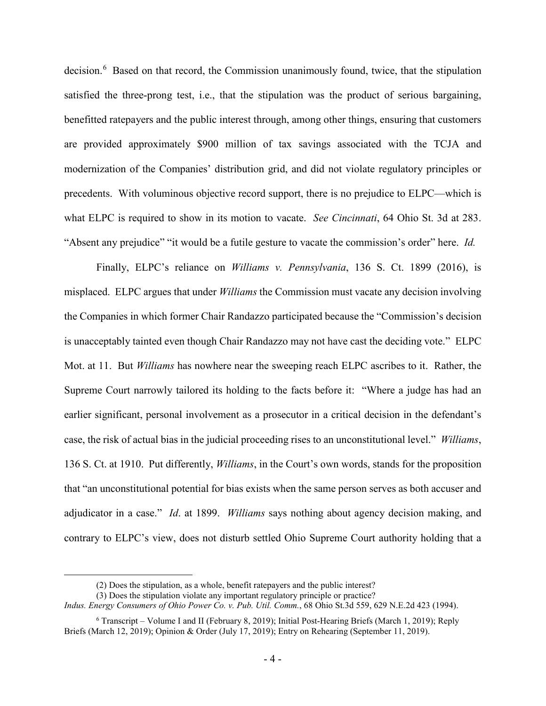decision.<sup>[6](#page-3-0)</sup> Based on that record, the Commission unanimously found, twice, that the stipulation satisfied the three-prong test, i.e., that the stipulation was the product of serious bargaining, benefitted ratepayers and the public interest through, among other things, ensuring that customers are provided approximately \$900 million of tax savings associated with the TCJA and modernization of the Companies' distribution grid, and did not violate regulatory principles or precedents. With voluminous objective record support, there is no prejudice to ELPC—which is what ELPC is required to show in its motion to vacate. *See Cincinnati*, 64 Ohio St. 3d at 283. "Absent any prejudice" "it would be a futile gesture to vacate the commission's order" here. *Id.*

Finally, ELPC's reliance on *Williams v. Pennsylvania*, 136 S. Ct. 1899 (2016), is misplaced. ELPC argues that under *Williams* the Commission must vacate any decision involving the Companies in which former Chair Randazzo participated because the "Commission's decision is unacceptably tainted even though Chair Randazzo may not have cast the deciding vote." ELPC Mot. at 11. But *Williams* has nowhere near the sweeping reach ELPC ascribes to it. Rather, the Supreme Court narrowly tailored its holding to the facts before it: "Where a judge has had an earlier significant, personal involvement as a prosecutor in a critical decision in the defendant's case, the risk of actual bias in the judicial proceeding rises to an unconstitutional level." *Williams*, 136 S. Ct. at 1910. Put differently, *Williams*, in the Court's own words, stands for the proposition that "an unconstitutional potential for bias exists when the same person serves as both accuser and adjudicator in a case." *Id*. at 1899. *Williams* says nothing about agency decision making, and contrary to ELPC's view, does not disturb settled Ohio Supreme Court authority holding that a

 $\overline{a}$ 

<sup>(2)</sup> Does the stipulation, as a whole, benefit ratepayers and the public interest?

<sup>(3)</sup> Does the stipulation violate any important regulatory principle or practice?

*Indus. Energy Consumers of Ohio Power Co. v. Pub. Util. Comm.*, 68 Ohio St.3d 559, 629 N.E.2d 423 (1994).

<span id="page-3-0"></span><sup>6</sup> Transcript – Volume I and II (February 8, 2019); Initial Post-Hearing Briefs (March 1, 2019); Reply Briefs (March 12, 2019); Opinion & Order (July 17, 2019); Entry on Rehearing (September 11, 2019).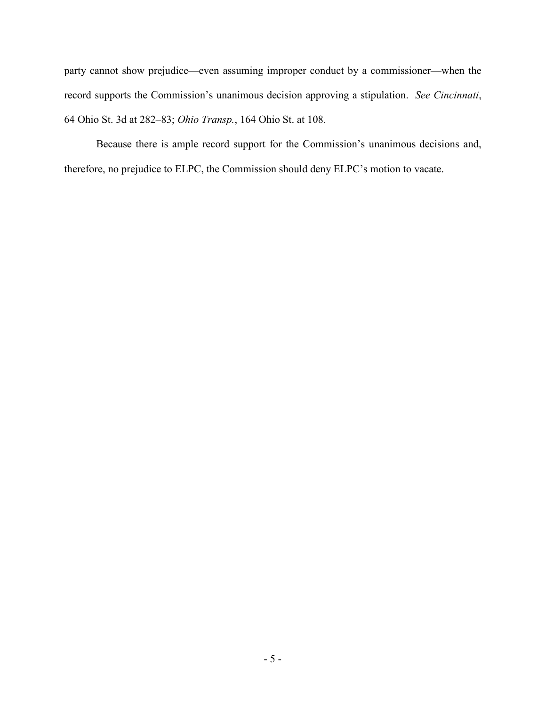party cannot show prejudice—even assuming improper conduct by a commissioner—when the record supports the Commission's unanimous decision approving a stipulation. *See Cincinnati*, 64 Ohio St. 3d at 282–83; *Ohio Transp.*, 164 Ohio St. at 108.

Because there is ample record support for the Commission's unanimous decisions and, therefore, no prejudice to ELPC, the Commission should deny ELPC's motion to vacate.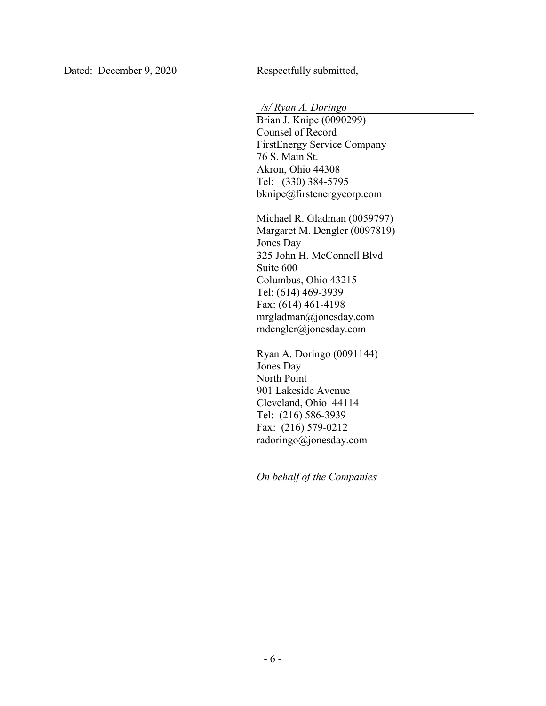*/s/ Ryan A. Doringo*

Brian J. Knipe (0090299) Counsel of Record FirstEnergy Service Company 76 S. Main St. Akron, Ohio 44308 Tel: (330) 384-5795 bknipe@firstenergycorp.com

Michael R. Gladman (0059797) Margaret M. Dengler (0097819) Jones Day 325 John H. McConnell Blvd Suite 600 Columbus, Ohio 43215 Tel: (614) 469-3939 Fax: (614) 461-4198 mrgladman@jonesday.com mdengler@jonesday.com

Ryan A. Doringo (0091144) Jones Day North Point 901 Lakeside Avenue Cleveland, Ohio 44114 Tel: (216) 586-3939 Fax: (216) 579-0212 radoringo@jonesday.com

*On behalf of the Companies*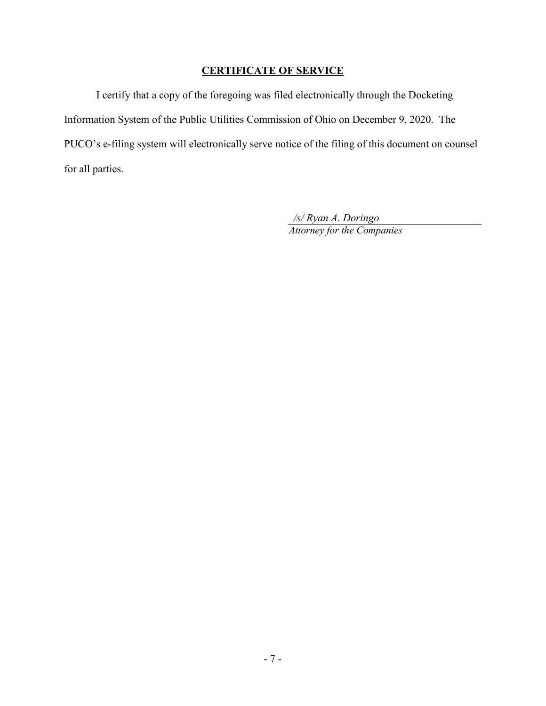### **CERTIFICATE OF SERVICE**

I certify that a copy of the foregoing was filed electronically through the Docketing Information System of the Public Utilities Commission of Ohio on December 9, 2020. The PUCO's e-filing system will electronically serve notice of the filing of this document on counsel for all parties.

> */s/ Ryan A. Doringo Attorney for the Companies*